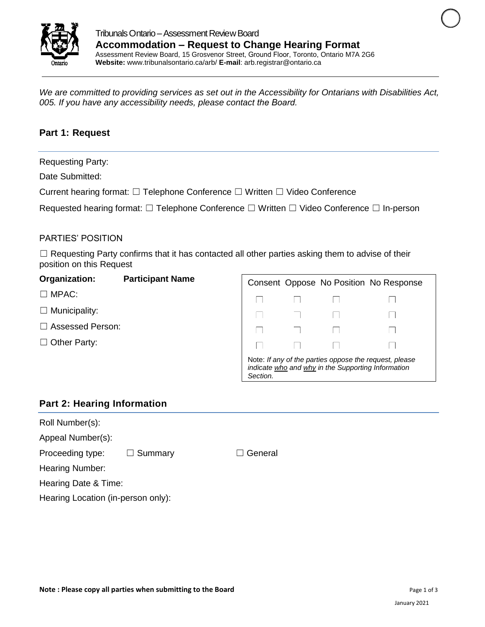

*We are committed to providing services as set out in the Accessibility for Ontarians with Disabilities Act, 005. If you have any accessibility needs, please contact the Board.*

# **Part 1: Request**

Requesting Party:

Date Submitted:

Current hearing format: ☐ Telephone Conference ☐ Written ☐ Video Conference

Requested hearing format: □ Telephone Conference □ Written □ Video Conference □ In-person

### PARTIES' POSITION

 $\Box$  Requesting Party confirms that it has contacted all other parties asking them to advise of their position on this Request

### **Organization: Participant Name**

- ☐ MPAC:
- $\Box$  Municipality:
- ☐ Assessed Person:
- □ Other Party:

|                                                                                                                          |  |  | Consent Oppose No Position No Response |  |  |
|--------------------------------------------------------------------------------------------------------------------------|--|--|----------------------------------------|--|--|
|                                                                                                                          |  |  |                                        |  |  |
|                                                                                                                          |  |  |                                        |  |  |
|                                                                                                                          |  |  |                                        |  |  |
|                                                                                                                          |  |  |                                        |  |  |
| Note: If any of the parties oppose the request, please<br>indicate who and why in the Supporting Information<br>Section. |  |  |                                        |  |  |

## **Part 2: Hearing Information**

| Roll Number(s):                    |                |                |  |
|------------------------------------|----------------|----------------|--|
| Appeal Number(s):                  |                |                |  |
| Proceeding type:                   | $\Box$ Summary | $\Box$ General |  |
| Hearing Number:                    |                |                |  |
| Hearing Date & Time:               |                |                |  |
| Hearing Location (in-person only): |                |                |  |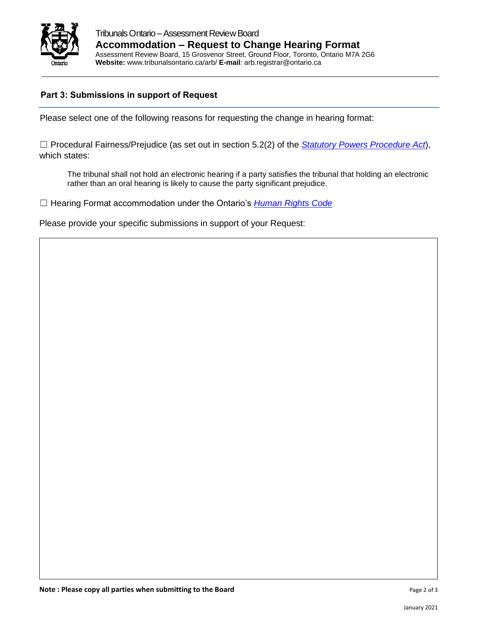

Tribunals Ontario –Assessment Review Board **Accommodation – Request to Change Hearing Format**  Assessment Review Board, 15 Grosvenor Street, Ground Floor, Toronto, Ontario M7A 2G6 **Website:** www.tribunalsontario.ca/arb/ **E-mail**: arb.registrar@ontario.ca

#### **Part 3: Submissions in support of Request**

Please select one of the following reasons for requesting the change in hearing format:

☐ Procedural Fairness/Prejudice (as set out in section 5.2(2) of the *Statutory Powers Procedure Act*), which states:

The tribunal shall not hold an electronic hearing if a party satisfies the tribunal that holding an electronic rather than an oral hearing is likely to cause the party significant prejudice.

☐ Hearing Format accommodation under the Ontario's *Human Rights Code*

Please provide your specific submissions in support of your Request: